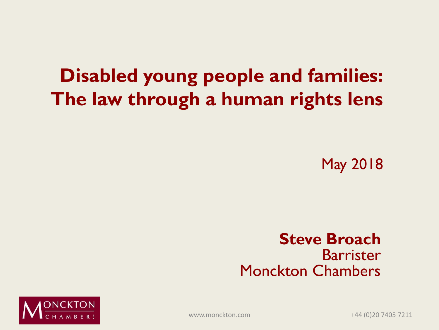#### **Disabled young people and families: The law through a human rights lens**

May 2018

#### **Steve Broach** Barrister Monckton Chambers



www.monckton.com +44 (0)20 7405 7211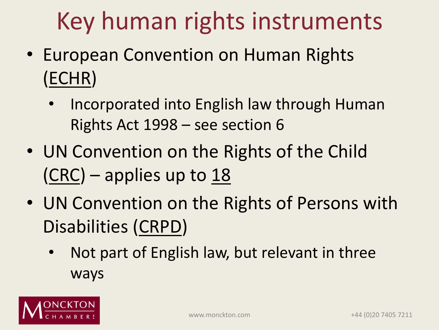## Key human rights instruments

- European Convention on Human Rights (ECHR)
	- Incorporated into English law through Human Rights Act 1998 – see section 6
- UN Convention on the Rights of the Child  $(CRC)$  – applies up to 18
- UN Convention on the Rights of Persons with Disabilities (CRPD)
	- Not part of English law, but relevant in three ways

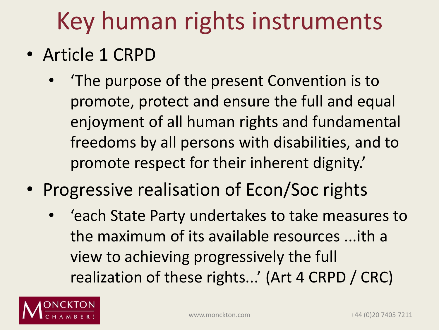## Key human rights instruments

- Article 1 CRPD
	- 'The purpose of the present Convention is to promote, protect and ensure the full and equal enjoyment of all human rights and fundamental freedoms by all persons with disabilities, and to promote respect for their inherent dignity.'
- Progressive realisation of Econ/Soc rights
	- 'each State Party undertakes to take measures to the maximum of its available resources ...ith a view to achieving progressively the full realization of these rights...' (Art 4 CRPD / CRC)

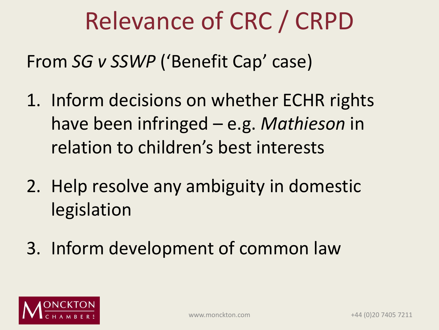#### Relevance of CRC / CRPD

From *SG v SSWP* ('Benefit Cap' case)

- 1. Inform decisions on whether ECHR rights have been infringed – e.g. *Mathieson* in relation to children's best interests
- 2. Help resolve any ambiguity in domestic legislation
- 3. Inform development of common law

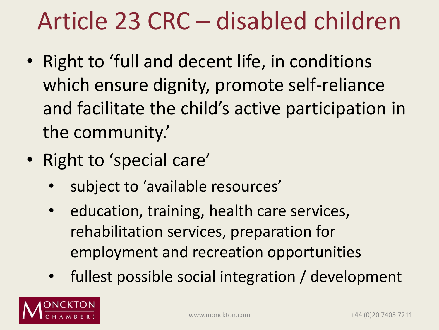### Article 23 CRC – disabled children

- Right to 'full and decent life, in conditions which ensure dignity, promote self-reliance and facilitate the child's active participation in the community.'
- Right to 'special care'
	- subject to 'available resources'
	- education, training, health care services, rehabilitation services, preparation for employment and recreation opportunities
	- fullest possible social integration / development

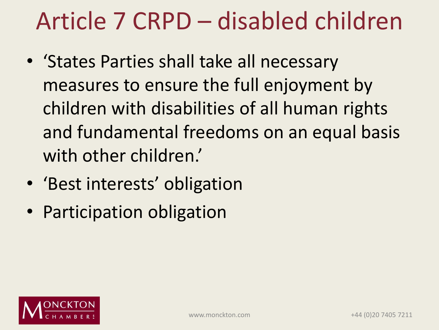### Article 7 CRPD – disabled children

- 'States Parties shall take all necessary measures to ensure the full enjoyment by children with disabilities of all human rights and fundamental freedoms on an equal basis with other children.'
- 'Best interests' obligation
- Participation obligation

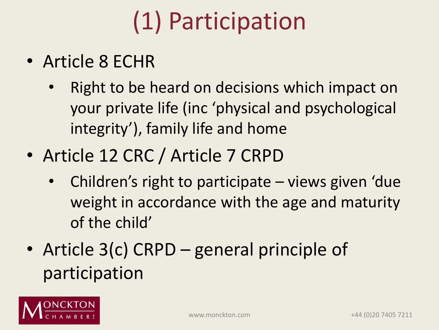## (1) Participation

- Article 8 ECHR
	- Right to be heard on decisions which impact on your private life (inc 'physical and psychological integrity'), family life and home
- Article 12 CRC / Article 7 CRPD
	- Children's right to participate views given 'due weight in accordance with the age and maturity of the child'
- Article 3(c) CRPD general principle of participation

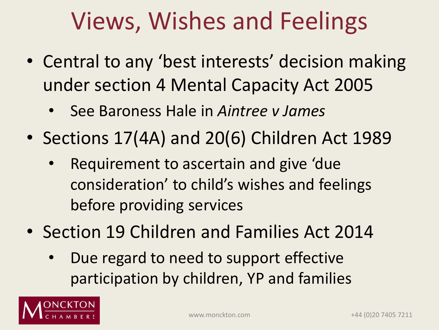### Views, Wishes and Feelings

- Central to any 'best interests' decision making under section 4 Mental Capacity Act 2005
	- See Baroness Hale in *Aintree v James*
- Sections 17(4A) and 20(6) Children Act 1989
	- Requirement to ascertain and give 'due consideration' to child's wishes and feelings before providing services
- Section 19 Children and Families Act 2014
	- Due regard to need to support effective participation by children, YP and families

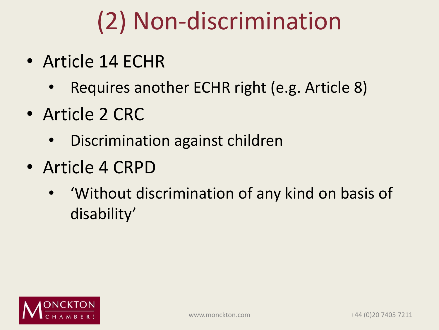## (2) Non-discrimination

- Article 14 ECHR
	- Requires another ECHR right (e.g. Article 8)
- Article 2 CRC
	- Discrimination against children
- Article 4 CRPD
	- 'Without discrimination of any kind on basis of disability'

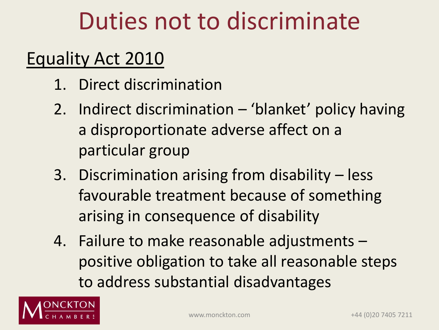#### Duties not to discriminate

#### Equality Act 2010

- 1. Direct discrimination
- 2. Indirect discrimination 'blanket' policy having a disproportionate adverse affect on a particular group
- 3. Discrimination arising from disability less favourable treatment because of something arising in consequence of disability
- 4. Failure to make reasonable adjustments positive obligation to take all reasonable steps to address substantial disadvantages

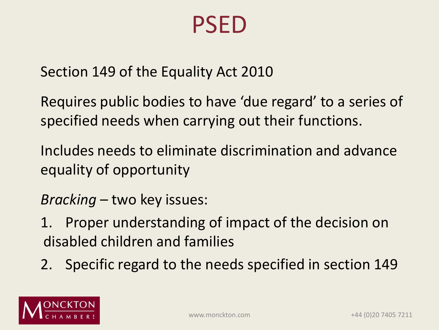#### PSED

Section 149 of the Equality Act 2010

Requires public bodies to have 'due regard' to a series of specified needs when carrying out their functions.

Includes needs to eliminate discrimination and advance equality of opportunity

*Bracking* – two key issues:

- 1. Proper understanding of impact of the decision on disabled children and families
- 2. Specific regard to the needs specified in section 149

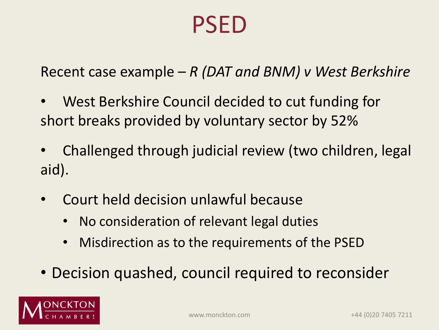#### PSED

Recent case example – *R (DAT and BNM) v West Berkshire*

- West Berkshire Council decided to cut funding for short breaks provided by voluntary sector by 52%
- Challenged through judicial review (two children, legal aid).
- Court held decision unlawful because
	- No consideration of relevant legal duties
	- Misdirection as to the requirements of the PSED
- Decision quashed, council required to reconsider

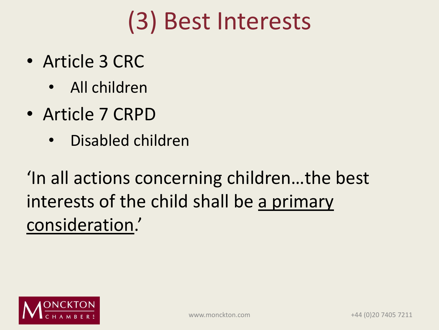### (3) Best Interests

- Article 3 CRC
	- All children
- Article 7 CRPD
	- Disabled children

'In all actions concerning children…the best interests of the child shall be a primary consideration.'

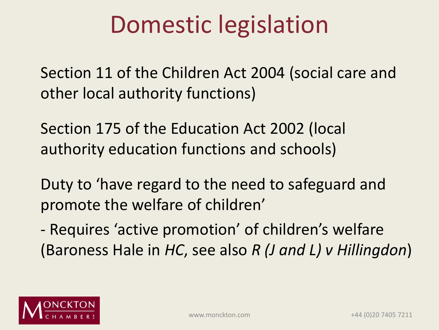### Domestic legislation

Section 11 of the Children Act 2004 (social care and other local authority functions)

Section 175 of the Education Act 2002 (local authority education functions and schools)

Duty to 'have regard to the need to safeguard and promote the welfare of children'

- Requires 'active promotion' of children's welfare (Baroness Hale in *HC*, see also *R (J and L) v Hillingdon*)

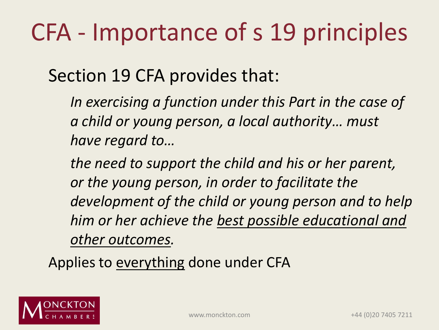## CFA - Importance of s 19 principles

Section 19 CFA provides that:

*In exercising a function under this Part in the case of a child or young person, a local authority… must have regard to…*

*the need to support the child and his or her parent, or the young person, in order to facilitate the development of the child or young person and to help him or her achieve the best possible educational and other outcomes.*

Applies to everything done under CFA

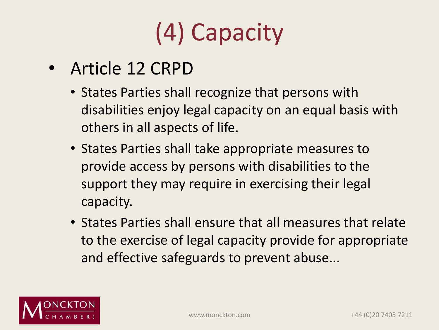# (4) Capacity

- Article 12 CRPD
	- States Parties shall recognize that persons with disabilities enjoy legal capacity on an equal basis with others in all aspects of life.
	- States Parties shall take appropriate measures to provide access by persons with disabilities to the support they may require in exercising their legal capacity.
	- States Parties shall ensure that all measures that relate to the exercise of legal capacity provide for appropriate and effective safeguards to prevent abuse...

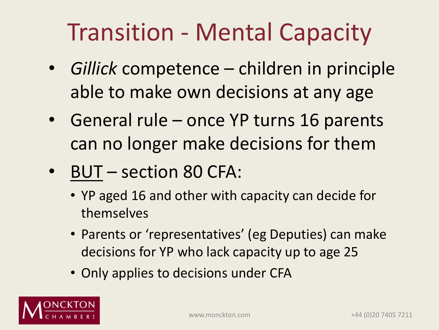## Transition - Mental Capacity

- *Gillick* competence children in principle able to make own decisions at any age
- General rule once YP turns 16 parents can no longer make decisions for them
- BUT section 80 CFA:
	- YP aged 16 and other with capacity can decide for themselves
	- Parents or 'representatives' (eg Deputies) can make decisions for YP who lack capacity up to age 25
	- Only applies to decisions under CFA

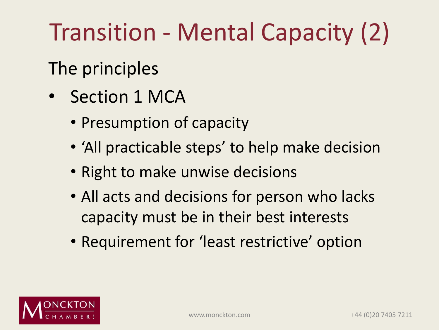## Transition - Mental Capacity (2)

#### The principles

- Section 1 MCA
	- Presumption of capacity
	- 'All practicable steps' to help make decision
	- Right to make unwise decisions
	- All acts and decisions for person who lacks capacity must be in their best interests
	- Requirement for 'least restrictive' option

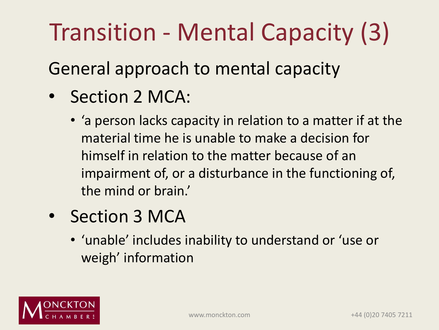## Transition - Mental Capacity (3)

General approach to mental capacity

- Section 2 MCA:
	- 'a person lacks capacity in relation to a matter if at the material time he is unable to make a decision for himself in relation to the matter because of an impairment of, or a disturbance in the functioning of, the mind or brain.'
- Section 3 MCA
	- 'unable' includes inability to understand or 'use or weigh' information

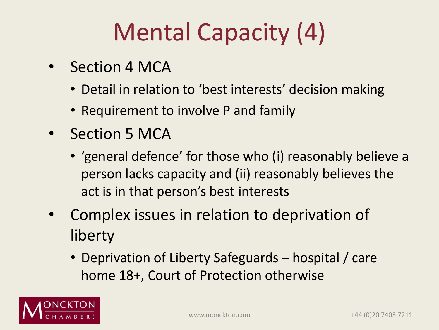## Mental Capacity (4)

- Section 4 MCA
	- Detail in relation to 'best interests' decision making
	- Requirement to involve P and family
- Section 5 MCA
	- 'general defence' for those who (i) reasonably believe a person lacks capacity and (ii) reasonably believes the act is in that person's best interests
- Complex issues in relation to deprivation of liberty
	- Deprivation of Liberty Safeguards hospital / care home 18+, Court of Protection otherwise

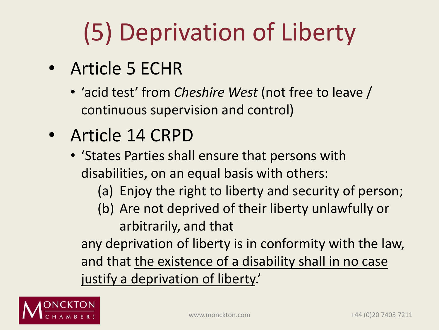# (5) Deprivation of Liberty

- Article 5 ECHR
	- 'acid test' from *Cheshire West* (not free to leave / continuous supervision and control)
- Article 14 CRPD
	- 'States Parties shall ensure that persons with disabilities, on an equal basis with others:
		- (a) Enjoy the right to liberty and security of person;
		- (b) Are not deprived of their liberty unlawfully or arbitrarily, and that

any deprivation of liberty is in conformity with the law, and that the existence of a disability shall in no case justify a deprivation of liberty.'

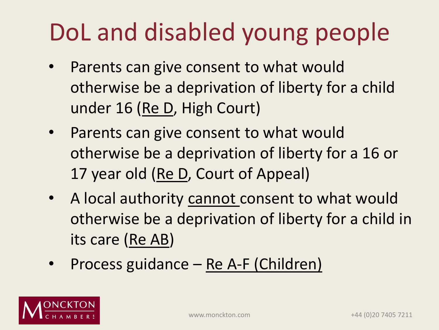## DoL and disabled young people

- Parents can give consent to what would otherwise be a deprivation of liberty for a child under 16 (Re D, High Court)
- Parents can give consent to what would otherwise be a deprivation of liberty for a 16 or 17 year old (Re D, Court of Appeal)
- A local authority cannot consent to what would otherwise be a deprivation of liberty for a child in its care (Re AB)
- Process guidance Re A-F (Children)

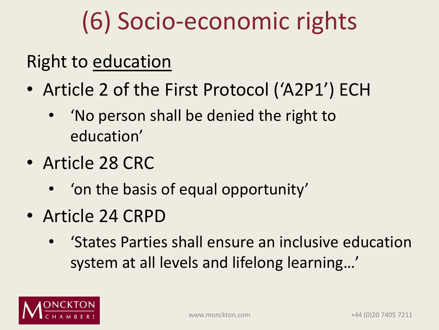## (6) Socio-economic rights

#### Right to education

- Article 2 of the First Protocol ('A2P1') ECH
	- 'No person shall be denied the right to education'
- Article 28 CRC
	- 'on the basis of equal opportunity'
- Article 24 CRPD
	- 'States Parties shall ensure an inclusive education system at all levels and lifelong learning…'

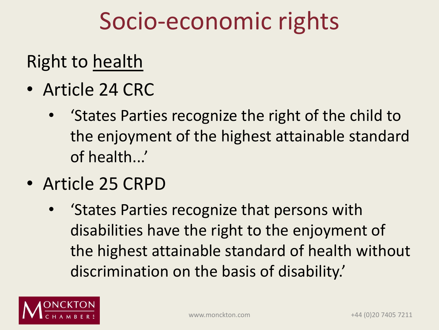#### Socio-economic rights

#### Right to health

- Article 24 CRC
	- 'States Parties recognize the right of the child to the enjoyment of the highest attainable standard of health...'
- Article 25 CRPD
	- 'States Parties recognize that persons with disabilities have the right to the enjoyment of the highest attainable standard of health without discrimination on the basis of disability.'

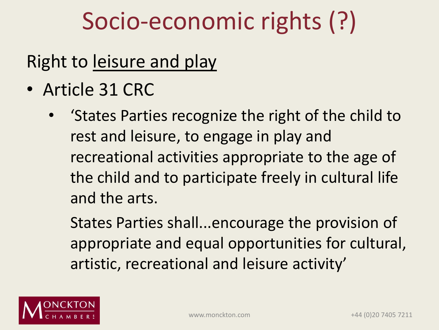### Socio-economic rights (?)

#### Right to leisure and play

- Article 31 CRC
	- 'States Parties recognize the right of the child to rest and leisure, to engage in play and recreational activities appropriate to the age of the child and to participate freely in cultural life and the arts.

States Parties shall...encourage the provision of appropriate and equal opportunities for cultural, artistic, recreational and leisure activity'

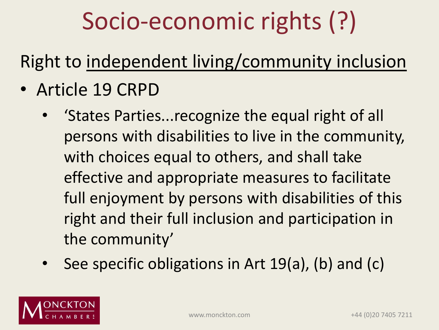## Socio-economic rights (?)

#### Right to independent living/community inclusion

- Article 19 CRPD
	- 'States Parties...recognize the equal right of all persons with disabilities to live in the community, with choices equal to others, and shall take effective and appropriate measures to facilitate full enjoyment by persons with disabilities of this right and their full inclusion and participation in the community'
	- See specific obligations in Art 19(a), (b) and (c)